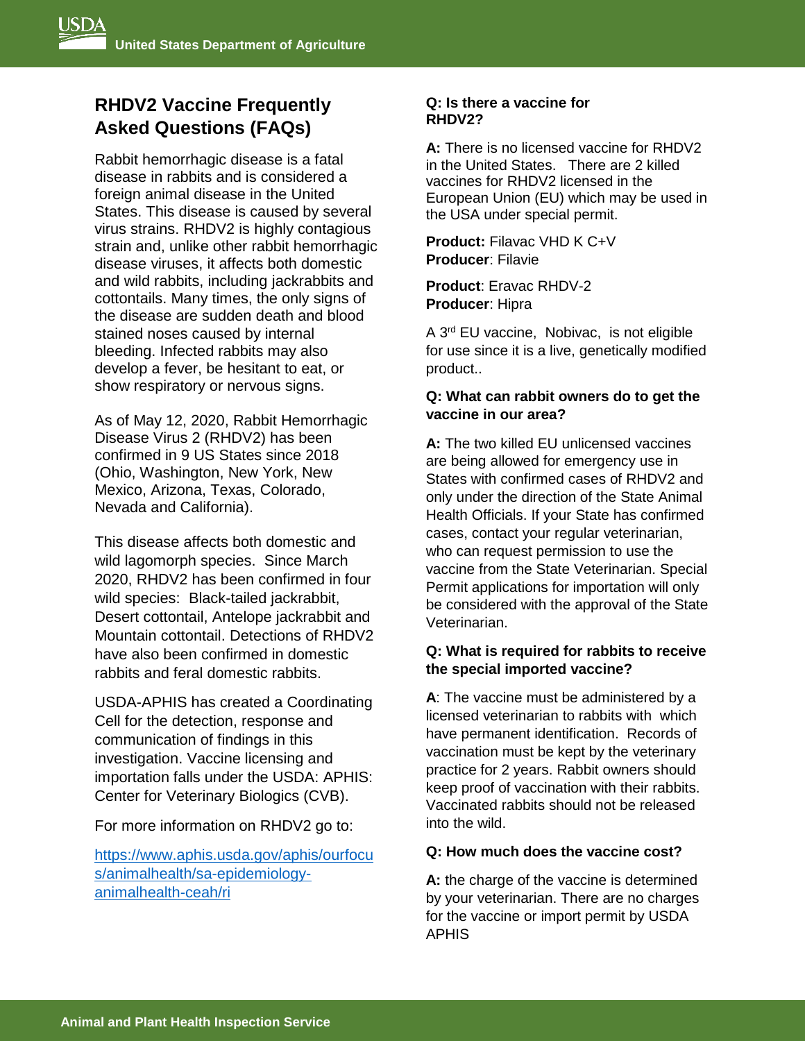# **RHDV2 Vaccine Frequently Asked Questions (FAQs)**

Rabbit hemorrhagic disease is a fatal disease in rabbits and is considered a foreign animal disease in the United States. This disease is caused by several virus strains. RHDV2 is highly contagious strain and, unlike other rabbit hemorrhagic disease viruses, it affects both domestic and wild rabbits, including jackrabbits and cottontails. Many times, the only signs of the disease are sudden death and blood stained noses caused by internal bleeding. Infected rabbits may also develop a fever, be hesitant to eat, or show respiratory or nervous signs.

As of May 12, 2020, Rabbit Hemorrhagic Disease Virus 2 (RHDV2) has been confirmed in 9 US States since 2018 (Ohio, Washington, New York, New Mexico, Arizona, Texas, Colorado, Nevada and California).

This disease affects both domestic and wild lagomorph species. Since March 2020, RHDV2 has been confirmed in four wild species: Black-tailed jackrabbit, Desert cottontail, Antelope jackrabbit and Mountain cottontail. Detections of RHDV2 have also been confirmed in domestic rabbits and feral domestic rabbits.

USDA-APHIS has created a Coordinating Cell for the detection, response and communication of findings in this investigation. Vaccine licensing and importation falls under the USDA: APHIS: Center for Veterinary Biologics (CVB).

For more information on RHDV2 go to:

[https://www.aphis.usda.gov/aphis/ourfocu](https://www.aphis.usda.gov/aphis/ourfocus/animalhealth/sa-epidemiology-animalhealth-ceah/ri) [s/animalhealth/sa-epidemiology](https://www.aphis.usda.gov/aphis/ourfocus/animalhealth/sa-epidemiology-animalhealth-ceah/ri)[animalhealth-ceah/ri](https://www.aphis.usda.gov/aphis/ourfocus/animalhealth/sa-epidemiology-animalhealth-ceah/ri)

## **Q: Is there a vaccine for RHDV2?**

**A:** There is no licensed vaccine for RHDV2 in the United States. There are 2 killed vaccines for RHDV2 licensed in the European Union (EU) which may be used in the USA under special permit.

**Product:** Filavac VHD K C+V **Producer**: Filavie

**Product**: Eravac RHDV-2 **Producer**: Hipra

A 3<sup>rd</sup> EU vaccine, Nobivac, is not eligible for use since it is a live, genetically modified product..

# **Q: What can rabbit owners do to get the vaccine in our area?**

**A:** The two killed EU unlicensed vaccines are being allowed for emergency use in States with confirmed cases of RHDV2 and only under the direction of the State Animal Health Officials. If your State has confirmed cases, contact your regular veterinarian, who can request permission to use the vaccine from the State Veterinarian. Special Permit applications for importation will only be considered with the approval of the State Veterinarian.

# **Q: What is required for rabbits to receive the special imported vaccine?**

**A**: The vaccine must be administered by a licensed veterinarian to rabbits with which have permanent identification. Records of vaccination must be kept by the veterinary practice for 2 years. Rabbit owners should keep proof of vaccination with their rabbits. Vaccinated rabbits should not be released into the wild.

## **Q: How much does the vaccine cost?**

**A:** the charge of the vaccine is determined by your veterinarian. There are no charges for the vaccine or import permit by USDA APHIS